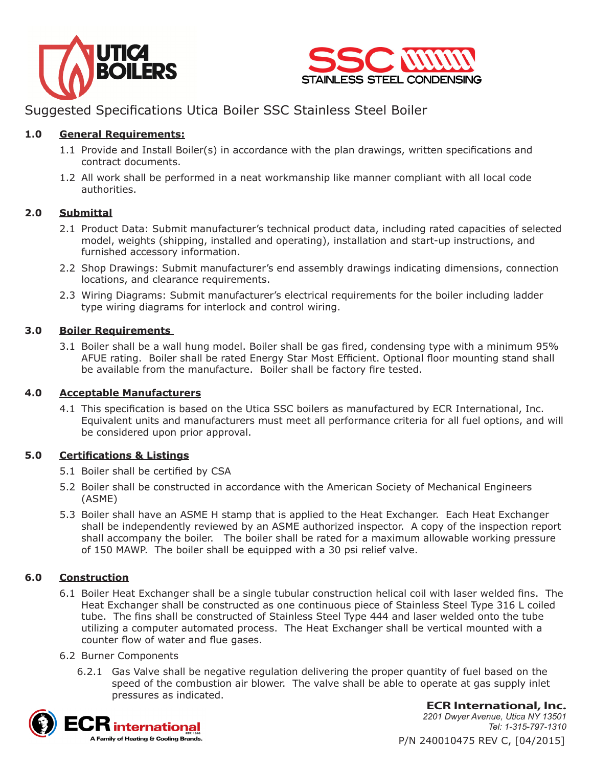



# Suggested Specifications Utica Boiler SSC Stainless Steel Boiler

# **1.0 General Requirements:**

- 1.1 Provide and Install Boiler(s) in accordance with the plan drawings, written specifications and contract documents.
- 1.2 All work shall be performed in a neat workmanship like manner compliant with all local code authorities.

# **2.0 Submittal**

- 2.1 Product Data: Submit manufacturer's technical product data, including rated capacities of selected model, weights (shipping, installed and operating), installation and start-up instructions, and furnished accessory information.
- 2.2 Shop Drawings: Submit manufacturer's end assembly drawings indicating dimensions, connection locations, and clearance requirements.
- 2.3 Wiring Diagrams: Submit manufacturer's electrical requirements for the boiler including ladder type wiring diagrams for interlock and control wiring.

### **3.0 Boiler Requirements**

3.1 Boiler shall be a wall hung model. Boiler shall be gas fired, condensing type with a minimum 95% AFUE rating. Boiler shall be rated Energy Star Most Efficient. Optional floor mounting stand shall be available from the manufacture. Boiler shall be factory fire tested.

### **4.0 Acceptable Manufacturers**

4.1 This specification is based on the Utica SSC boilers as manufactured by ECR International, Inc. Equivalent units and manufacturers must meet all performance criteria for all fuel options, and will be considered upon prior approval.

### **5.0 Certifications & Listings**

- 5.1 Boiler shall be certified by CSA
- 5.2 Boiler shall be constructed in accordance with the American Society of Mechanical Engineers (ASME)
- 5.3 Boiler shall have an ASME H stamp that is applied to the Heat Exchanger. Each Heat Exchanger shall be independently reviewed by an ASME authorized inspector. A copy of the inspection report shall accompany the boiler. The boiler shall be rated for a maximum allowable working pressure of 150 MAWP. The boiler shall be equipped with a 30 psi relief valve.

### **6.0 Construction**

6.1 Boiler Heat Exchanger shall be a single tubular construction helical coil with laser welded fins. The Heat Exchanger shall be constructed as one continuous piece of Stainless Steel Type 316 L coiled tube. The fins shall be constructed of Stainless Steel Type 444 and laser welded onto the tube utilizing a computer automated process. The Heat Exchanger shall be vertical mounted with a counter flow of water and flue gases.

#### 6.2 Burner Components

6.2.1 Gas Valve shall be negative regulation delivering the proper quantity of fuel based on the speed of the combustion air blower. The valve shall be able to operate at gas supply inlet pressures as indicated.



**ECR International, Inc.** *2201 Dwyer Avenue, Utica NY 13501 Tel: 1-315-797-1310*

P/N 240010475 REV C, [04/2015]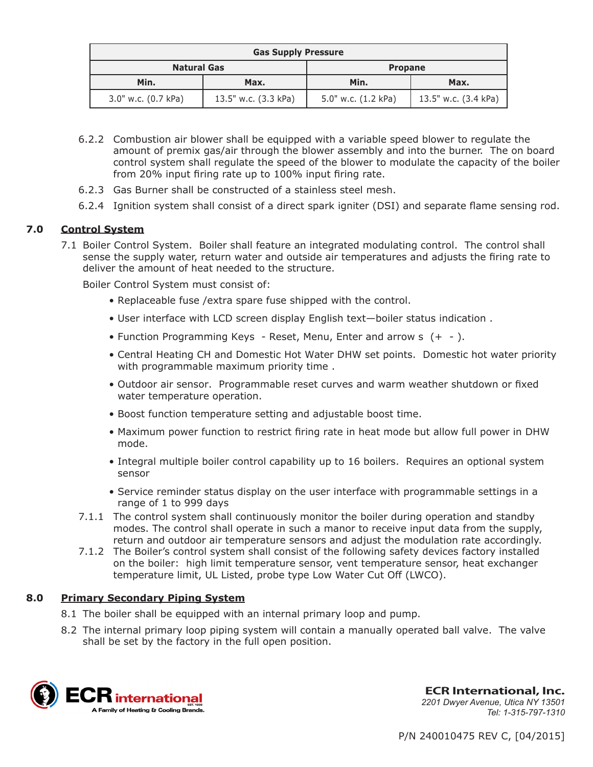| <b>Gas Supply Pressure</b> |                      |                     |                      |
|----------------------------|----------------------|---------------------|----------------------|
| <b>Natural Gas</b>         |                      | <b>Propane</b>      |                      |
| Min.                       | Max.                 | Min.                | Max.                 |
| 3.0" w.c. (0.7 kPa)        | 13.5" w.c. (3.3 kPa) | 5.0" w.c. (1.2 kPa) | 13.5" w.c. (3.4 kPa) |

- 6.2.2 Combustion air blower shall be equipped with a variable speed blower to regulate the amount of premix gas/air through the blower assembly and into the burner. The on board control system shall regulate the speed of the blower to modulate the capacity of the boiler from 20% input firing rate up to 100% input firing rate.
- 6.2.3 Gas Burner shall be constructed of a stainless steel mesh.
- 6.2.4 Ignition system shall consist of a direct spark igniter (DSI) and separate flame sensing rod.

### **7.0 Control System**

7.1 Boiler Control System. Boiler shall feature an integrated modulating control. The control shall sense the supply water, return water and outside air temperatures and adjusts the firing rate to deliver the amount of heat needed to the structure.

Boiler Control System must consist of:

- Replaceable fuse /extra spare fuse shipped with the control.
- User interface with LCD screen display English text—boiler status indication .
- Function Programming Keys Reset, Menu, Enter and arrow s (+ ).
- Central Heating CH and Domestic Hot Water DHW set points. Domestic hot water priority with programmable maximum priority time .
- Outdoor air sensor. Programmable reset curves and warm weather shutdown or fixed water temperature operation.
- Boost function temperature setting and adjustable boost time.
- Maximum power function to restrict firing rate in heat mode but allow full power in DHW mode.
- Integral multiple boiler control capability up to 16 boilers. Requires an optional system sensor
- Service reminder status display on the user interface with programmable settings in a range of 1 to 999 days
- 7.1.1 The control system shall continuously monitor the boiler during operation and standby modes. The control shall operate in such a manor to receive input data from the supply, return and outdoor air temperature sensors and adjust the modulation rate accordingly.
- 7.1.2 The Boiler's control system shall consist of the following safety devices factory installed on the boiler: high limit temperature sensor, vent temperature sensor, heat exchanger temperature limit, UL Listed, probe type Low Water Cut Off (LWCO).

#### **8.0 Primary Secondary Piping System**

- 8.1 The boiler shall be equipped with an internal primary loop and pump.
- 8.2 The internal primary loop piping system will contain a manually operated ball valve. The valve shall be set by the factory in the full open position.



**ECR International, Inc.** *2201 Dwyer Avenue, Utica NY 13501 Tel: 1-315-797-1310*